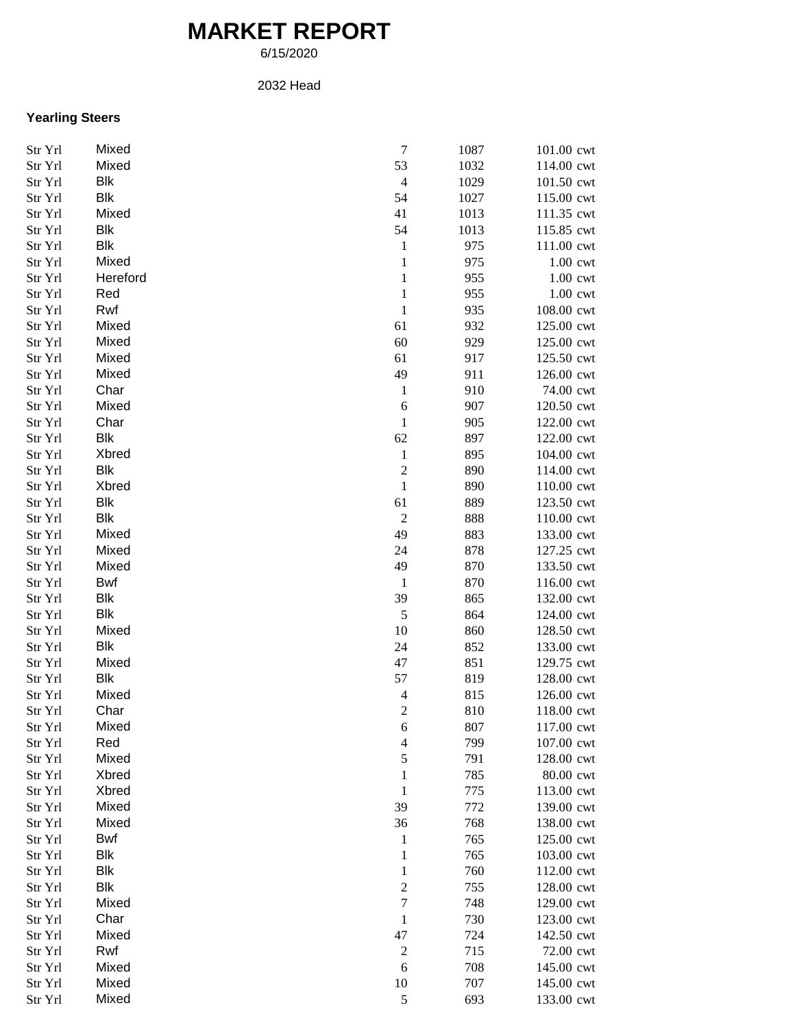## **MARKET REPORT**

6/15/2020

## 2032 Head

## **Yearling Steers**

| Str Yrl | Mixed      | $\boldsymbol{7}$         | 1087 | 101.00 cwt |
|---------|------------|--------------------------|------|------------|
| Str Yrl | Mixed      | 53                       | 1032 | 114.00 cwt |
| Str Yrl | <b>Blk</b> | $\overline{4}$           | 1029 | 101.50 cwt |
| Str Yrl | Blk        | 54                       | 1027 | 115.00 cwt |
| Str Yrl | Mixed      | 41                       | 1013 | 111.35 cwt |
| Str Yrl | Blk        | 54                       | 1013 | 115.85 cwt |
| Str Yrl | Blk        | $\mathbf{1}$             | 975  | 111.00 cwt |
| Str Yrl | Mixed      | $\,1\,$                  | 975  | 1.00 cwt   |
| Str Yrl | Hereford   | $\mathbf{1}$             | 955  | 1.00 cwt   |
| Str Yrl | Red        | $\mathbf{1}$             | 955  | 1.00 cwt   |
| Str Yrl | Rwf        | $\mathbf{1}$             | 935  | 108.00 cwt |
| Str Yrl | Mixed      | 61                       | 932  | 125.00 cwt |
| Str Yrl | Mixed      | 60                       | 929  | 125.00 cwt |
| Str Yrl | Mixed      | 61                       | 917  | 125.50 cwt |
| Str Yrl | Mixed      | 49                       | 911  | 126.00 cwt |
| Str Yrl | Char       | $\mathbf{1}$             | 910  | 74.00 cwt  |
| Str Yrl | Mixed      | $\boldsymbol{6}$         | 907  | 120.50 cwt |
| Str Yrl | Char       | $\mathbf{1}$             | 905  | 122.00 cwt |
| Str Yrl | Blk        | 62                       | 897  | 122.00 cwt |
| Str Yrl | Xbred      | $\mathbf{1}$             | 895  | 104.00 cwt |
| Str Yrl | Blk        | $\overline{c}$           | 890  | 114.00 cwt |
| Str Yrl | Xbred      | $\,1$                    | 890  | 110.00 cwt |
| Str Yrl | Blk        | 61                       | 889  | 123.50 cwt |
| Str Yrl | Blk        | $\overline{c}$           | 888  | 110.00 cwt |
| Str Yrl | Mixed      | 49                       | 883  | 133.00 cwt |
| Str Yrl | Mixed      | 24                       | 878  | 127.25 cwt |
| Str Yrl | Mixed      | 49                       | 870  | 133.50 cwt |
| Str Yrl | Bwf        | $\mathbf{1}$             | 870  | 116.00 cwt |
| Str Yrl | Blk        | 39                       | 865  | 132.00 cwt |
| Str Yrl | <b>Blk</b> | $\sqrt{5}$               | 864  | 124.00 cwt |
| Str Yrl | Mixed      | 10                       | 860  | 128.50 cwt |
| Str Yrl | Blk        | 24                       | 852  | 133.00 cwt |
| Str Yrl | Mixed      | 47                       | 851  | 129.75 cwt |
| Str Yrl | Blk        | 57                       | 819  | 128.00 cwt |
| Str Yrl | Mixed      | $\overline{4}$           | 815  | 126.00 cwt |
| Str Yrl | Char       | $\overline{c}$           | 810  | 118.00 cwt |
| Str Yrl | Mixed      | 6                        | 807  | 117.00 cwt |
| Str Yrl | Red        | $\overline{\mathcal{L}}$ | 799  | 107.00 cwt |
| Str Yrl | Mixed      | 5                        | 791  | 128.00 cwt |
| Str Yrl | Xbred      | 1                        | 785  | 80.00 cwt  |
| Str Yrl | Xbred      | $\mathbf{1}$             | 775  | 113.00 cwt |
| Str Yrl | Mixed      | 39                       | 772  | 139.00 cwt |
| Str Yrl | Mixed      | 36                       | 768  | 138.00 cwt |
| Str Yrl | Bwf        | $\mathbf{1}$             | 765  | 125.00 cwt |
| Str Yrl | <b>Blk</b> | $\mathbf{1}$             | 765  | 103.00 cwt |
| Str Yrl | <b>Blk</b> | $\mathbf{1}$             | 760  | 112.00 cwt |
| Str Yrl | <b>Blk</b> | $\boldsymbol{2}$         | 755  | 128.00 cwt |
| Str Yrl | Mixed      | $\boldsymbol{7}$         | 748  | 129.00 cwt |
| Str Yrl | Char       | $\mathbf{1}$             | 730  | 123.00 cwt |
| Str Yrl | Mixed      | 47                       | 724  | 142.50 cwt |
| Str Yrl | Rwf        | $\overline{c}$           | 715  | 72.00 cwt  |
| Str Yrl | Mixed      | $\boldsymbol{6}$         | 708  | 145.00 cwt |
| Str Yrl | Mixed      | 10                       | 707  | 145.00 cwt |
| Str Yrl | Mixed      | 5                        | 693  | 133.00 cwt |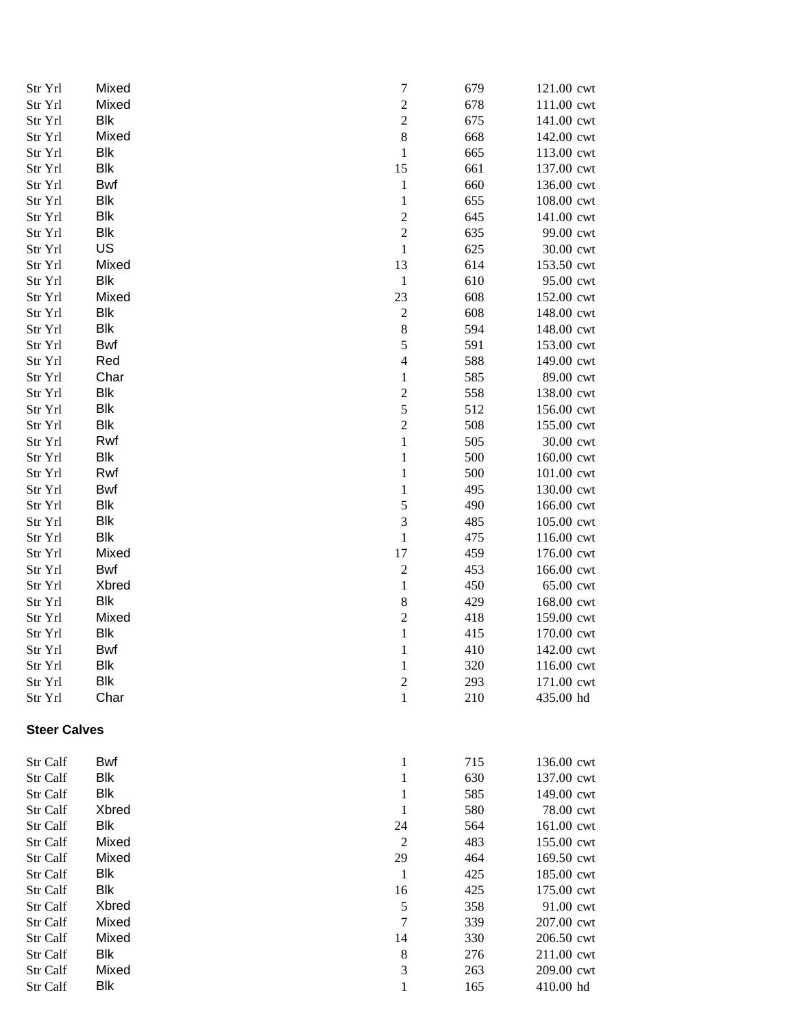| Str Yrl             | Mixed      | $\overline{7}$          | 679 | 121.00 cwt |
|---------------------|------------|-------------------------|-----|------------|
| Str Yrl             | Mixed      | $\overline{\mathbf{c}}$ | 678 | 111.00 cwt |
| Str Yrl             | <b>Blk</b> | $\overline{c}$          | 675 | 141.00 cwt |
| Str Yrl             | Mixed      | 8                       | 668 | 142.00 cwt |
| Str Yrl             | <b>Blk</b> | $\mathbf{1}$            | 665 | 113.00 cwt |
| Str Yrl             | <b>Blk</b> | 15                      | 661 | 137.00 cwt |
| Str Yrl             | <b>Bwf</b> | $\mathbf 1$             | 660 | 136.00 cwt |
| Str Yrl             | <b>Blk</b> | $\mathbf{1}$            | 655 | 108.00 cwt |
| Str Yrl             | <b>Blk</b> | $\overline{c}$          | 645 | 141.00 cwt |
| Str Yrl             | <b>Blk</b> | $\overline{\mathbf{c}}$ | 635 | 99.00 cwt  |
| Str Yrl             | US         | $\mathbf{1}$            | 625 | 30.00 cwt  |
| Str Yrl             | Mixed      | 13                      | 614 | 153.50 cwt |
| Str Yrl             | <b>Blk</b> | $\mathbf{1}$            | 610 | 95.00 cwt  |
| Str Yrl             | Mixed      | 23                      | 608 | 152.00 cwt |
| Str Yrl             | <b>Blk</b> | $\sqrt{2}$              | 608 | 148.00 cwt |
| Str Yrl             | <b>Blk</b> | 8                       | 594 | 148.00 cwt |
| Str Yrl             | Bwf        | 5                       | 591 | 153.00 cwt |
| Str Yrl             | Red        | $\overline{4}$          | 588 | 149.00 cwt |
| Str Yrl             | Char       | $\mathbf{1}$            | 585 | 89.00 cwt  |
| Str Yrl             | <b>Blk</b> | $\overline{c}$          | 558 | 138.00 cwt |
| Str Yrl             | <b>Blk</b> | 5                       | 512 | 156.00 cwt |
| Str Yrl             | <b>Blk</b> | $\overline{c}$          | 508 | 155.00 cwt |
| Str Yrl             | Rwf        | $\,1$                   | 505 | 30.00 cwt  |
| Str Yrl             | <b>Blk</b> | $\mathbf{1}$            | 500 | 160.00 cwt |
| Str Yrl             | Rwf        | $\mathbf{1}$            | 500 | 101.00 cwt |
| Str Yrl             | Bwf        | $\mathbf{1}$            | 495 | 130.00 cwt |
|                     | <b>Blk</b> | 5                       | 490 | 166.00 cwt |
| Str Yrl             | <b>Blk</b> |                         | 485 |            |
| Str Yrl             | <b>Blk</b> | 3<br>$\,1$              | 475 | 105.00 cwt |
| Str Yrl             |            |                         | 459 | 116.00 cwt |
| Str Yrl             | Mixed      | 17                      |     | 176.00 cwt |
| Str Yrl             | Bwf        | $\overline{c}$          | 453 | 166.00 cwt |
| Str Yrl             | Xbred      | $\mathbf 1$             | 450 | 65.00 cwt  |
| Str Yrl             | <b>Blk</b> | $\,$ 8 $\,$             | 429 | 168.00 cwt |
| Str Yrl             | Mixed      | $\overline{c}$          | 418 | 159.00 cwt |
| Str Yrl             | <b>Blk</b> | $\mathbf 1$             | 415 | 170.00 cwt |
| Str Yrl             | <b>Bwf</b> | $\mathbf{1}$            | 410 | 142.00 cwt |
| Str Yrl             | Blk        | $\mathbf{1}$            | 320 | 116.00 cwt |
| Str Yrl             | <b>Blk</b> | $\boldsymbol{2}$        | 293 | 171.00 cwt |
| Str Yrl             | Char       | $\mathbf{1}$            | 210 | 435.00 hd  |
| <b>Steer Calves</b> |            |                         |     |            |
| Str Calf            | Bwf        | $\mathbf{1}$            | 715 | 136.00 cwt |
| Str Calf            | <b>Blk</b> | 1                       | 630 | 137.00 cwt |
| Str Calf            | <b>Blk</b> | 1                       | 585 | 149.00 cwt |
| Str Calf            | Xbred      | $\mathbf{1}$            | 580 | 78.00 cwt  |
| Str Calf            | <b>Blk</b> | 24                      | 564 | 161.00 cwt |
| Str Calf            | Mixed      | $\sqrt{2}$              | 483 | 155.00 cwt |
| Str Calf            | Mixed      | 29                      | 464 | 169.50 cwt |
| Str Calf            | <b>Blk</b> | 1                       | 425 | 185.00 cwt |
| Str Calf            | <b>Blk</b> | 16                      | 425 | 175.00 cwt |
| Str Calf            | Xbred      | 5                       | 358 | 91.00 cwt  |
| Str Calf            | Mixed      | $\tau$                  | 339 | 207.00 cwt |
| Str Calf            | Mixed      | 14                      | 330 | 206.50 cwt |
| Str Calf            | <b>Blk</b> | 8                       | 276 | 211.00 cwt |
| Str Calf            | Mixed      | 3                       | 263 | 209.00 cwt |
| Str Calf            | <b>Blk</b> | $\mathbf{1}$            | 165 | 410.00 hd  |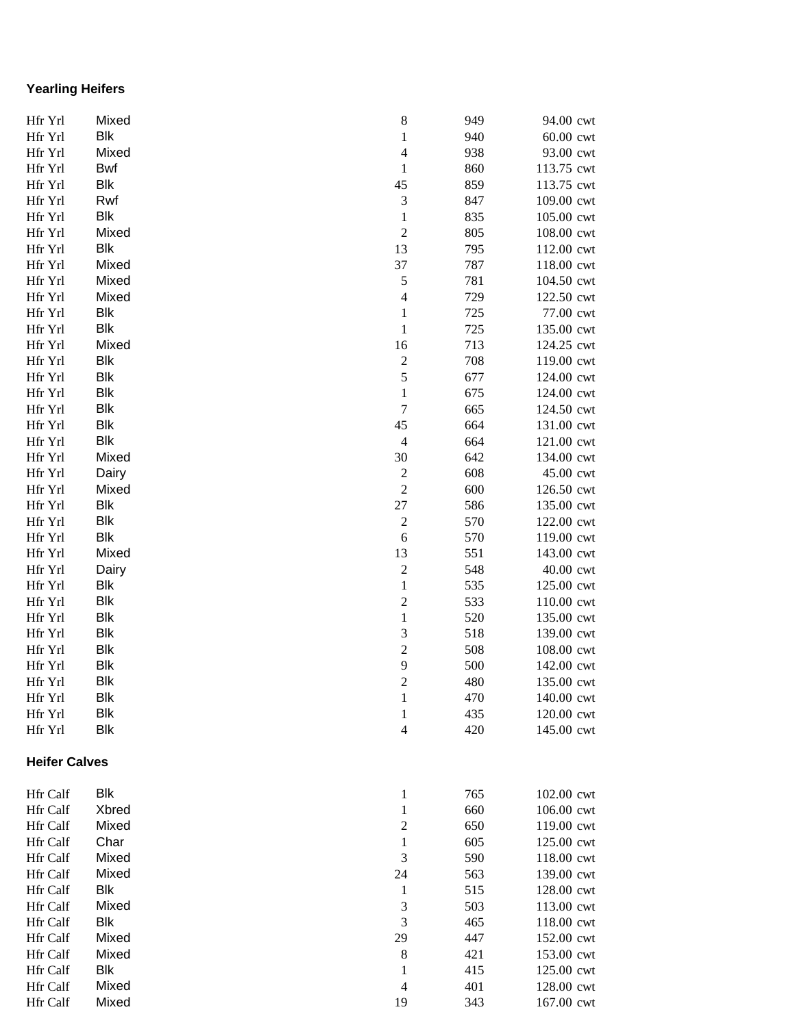## **Yearling Heifers**

| Hfr Yrl              | Mixed      | 8                        | 949 | 94.00 cwt  |
|----------------------|------------|--------------------------|-----|------------|
| Hfr Yrl              | <b>Blk</b> | $\,1$                    | 940 | 60.00 cwt  |
| Hfr Yrl              | Mixed      | $\overline{4}$           | 938 | 93.00 cwt  |
| Hfr Yrl              | <b>Bwf</b> | $\mathbf{1}$             | 860 | 113.75 cwt |
| Hfr Yrl              | Blk        | 45                       | 859 | 113.75 cwt |
| Hfr Yrl              | Rwf        | $\mathfrak{Z}$           | 847 | 109.00 cwt |
| Hfr Yrl              | <b>Blk</b> | $\mathbf{1}$             | 835 | 105.00 cwt |
| Hfr Yrl              | Mixed      | $\overline{c}$           | 805 | 108.00 cwt |
| Hfr Yrl              | <b>Blk</b> | 13                       | 795 | 112.00 cwt |
| Hfr Yrl              | Mixed      | 37                       | 787 | 118.00 cwt |
| Hfr Yrl              | Mixed      | 5                        | 781 | 104.50 cwt |
| Hfr Yrl              | Mixed      | $\overline{4}$           | 729 | 122.50 cwt |
| Hfr Yrl              | <b>Blk</b> | $\,1$                    | 725 | 77.00 cwt  |
| Hfr Yrl              | Blk        | $\mathbf 1$              | 725 | 135.00 cwt |
| Hfr Yrl              | Mixed      | 16                       | 713 | 124.25 cwt |
| Hfr Yrl              | <b>Blk</b> | $\overline{c}$           | 708 | 119.00 cwt |
| Hfr Yrl              | <b>Blk</b> | 5                        | 677 | 124.00 cwt |
| Hfr Yrl              | <b>Blk</b> | $\,1$                    | 675 | 124.00 cwt |
| Hfr Yrl              | <b>Blk</b> | $\overline{7}$           | 665 | 124.50 cwt |
| Hfr Yrl              | <b>Blk</b> | 45                       | 664 | 131.00 cwt |
| Hfr Yrl              | <b>Blk</b> | $\overline{4}$           | 664 | 121.00 cwt |
| Hfr Yrl              | Mixed      | 30                       | 642 | 134.00 cwt |
| Hfr Yrl              | Dairy      | $\overline{c}$           | 608 | 45.00 cwt  |
| Hfr Yrl              | Mixed      | $\overline{c}$           | 600 | 126.50 cwt |
| Hfr Yrl              | <b>Blk</b> | 27                       | 586 | 135.00 cwt |
| Hfr Yrl              | <b>Blk</b> | $\overline{c}$           | 570 | 122.00 cwt |
| Hfr Yrl              | <b>Blk</b> | 6                        | 570 | 119.00 cwt |
| Hfr Yrl              | Mixed      | 13                       | 551 | 143.00 cwt |
| Hfr Yrl              | Dairy      | $\overline{c}$           | 548 | 40.00 cwt  |
| Hfr Yrl              | <b>Blk</b> | $\,1$                    | 535 | 125.00 cwt |
| Hfr Yrl              | <b>Blk</b> | $\overline{c}$           | 533 | 110.00 cwt |
| Hfr Yrl              | <b>Blk</b> | $\,1$                    | 520 | 135.00 cwt |
| Hfr Yrl              | <b>Blk</b> | 3                        | 518 | 139.00 cwt |
| Hfr Yrl              | <b>Blk</b> | $\overline{c}$           | 508 | 108.00 cwt |
| Hfr Yrl              | <b>Blk</b> | 9                        | 500 | 142.00 cwt |
| Hfr Yrl              | <b>Blk</b> | $\overline{2}$           | 480 | 135.00 cwt |
| Hfr Yrl              | Blk        | 1                        | 470 | 140.00 cwt |
| Hfr Yrl              | <b>Blk</b> | $\mathbf{1}$             | 435 | 120.00 cwt |
| Hfr Yrl              | <b>Blk</b> | $\overline{\mathcal{L}}$ | 420 | 145.00 cwt |
|                      |            |                          |     |            |
| <b>Heifer Calves</b> |            |                          |     |            |
| Hfr Calf             | <b>Blk</b> | $\mathbf{1}$             | 765 | 102.00 cwt |
| Hfr Calf             | Xbred      | $\mathbf{1}$             | 660 | 106.00 cwt |
| Hfr Calf             | Mixed      | $\boldsymbol{2}$         | 650 | 119.00 cwt |
| <b>Hfr</b> Calf      | Char       | $\mathbf{1}$             | 605 | 125.00 cwt |
| Hfr Calf             | Mixed      | 3                        | 590 | 118.00 cwt |
| Hfr Calf             | Mixed      | 24                       | 563 | 139.00 cwt |
| Hfr Calf             | <b>Blk</b> | $\mathbf{1}$             | 515 | 128.00 cwt |
| Hfr Calf             | Mixed      | 3                        | 503 | 113.00 cwt |
| Hfr Calf             | <b>Blk</b> | 3                        | 465 | 118.00 cwt |
| Hfr Calf             | Mixed      | 29                       | 447 | 152.00 cwt |
| Hfr Calf             | Mixed      | $\,8\,$                  | 421 | 153.00 cwt |
| Hfr Calf             | Blk        | 1                        | 415 | 125.00 cwt |
| Hfr Calf             | Mixed      | $\overline{4}$           | 401 | 128.00 cwt |
| Hfr Calf             | Mixed      | 19                       | 343 | 167.00 cwt |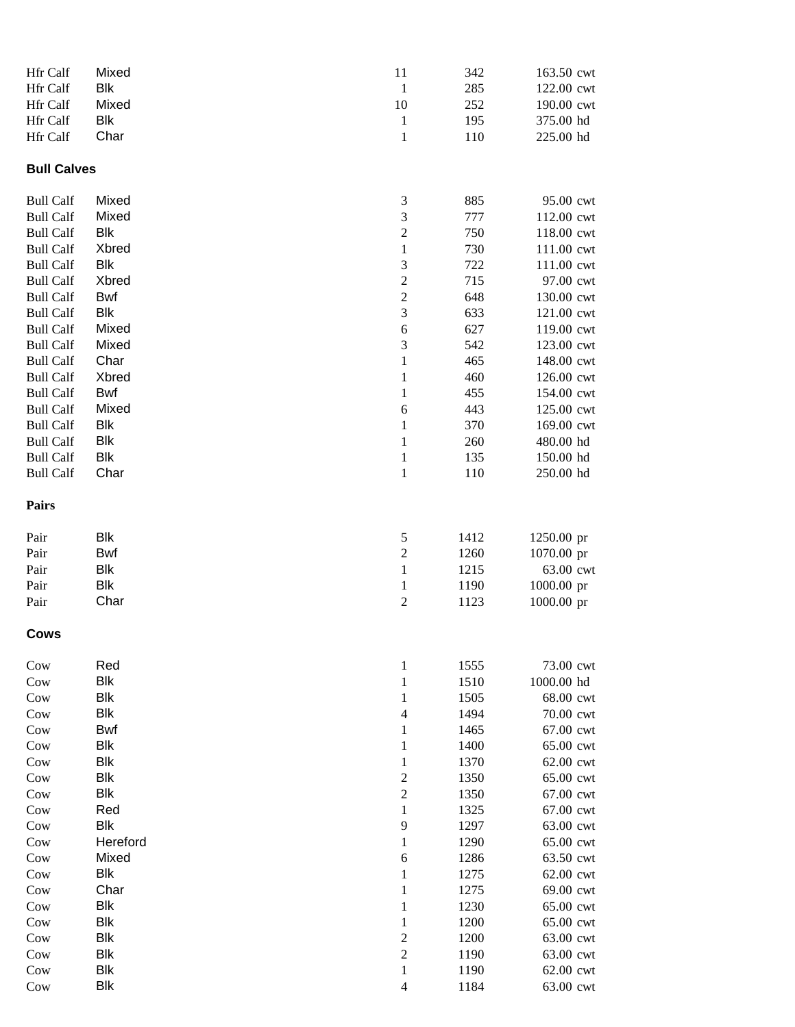| Hfr Calf           | Mixed      | 11                                                           | 342  | 163.50 cwt |
|--------------------|------------|--------------------------------------------------------------|------|------------|
| Hfr Calf           | Blk        | $\mathbf{1}$                                                 | 285  | 122.00 cwt |
| Hfr Calf           | Mixed      | 10                                                           | 252  | 190.00 cwt |
| Hfr Calf           | Blk        | $\mathbf{1}$                                                 | 195  | 375.00 hd  |
| Hfr Calf           | Char       | $\mathbf{1}$                                                 | 110  | 225.00 hd  |
|                    |            |                                                              |      |            |
| <b>Bull Calves</b> |            |                                                              |      |            |
| <b>Bull Calf</b>   | Mixed      | $\mathfrak 3$                                                | 885  | 95.00 cwt  |
| <b>Bull Calf</b>   | Mixed      | 3                                                            | 777  | 112.00 cwt |
| <b>Bull Calf</b>   | Blk        | $\overline{c}$                                               | 750  | 118.00 cwt |
| <b>Bull Calf</b>   | Xbred      | $\mathbf{1}$                                                 | 730  | 111.00 cwt |
| <b>Bull Calf</b>   | Blk        | $\mathfrak 3$                                                | 722  | 111.00 cwt |
| <b>Bull Calf</b>   | Xbred      | $\sqrt{2}$                                                   | 715  | 97.00 cwt  |
| <b>Bull Calf</b>   | Bwf        | $\mathfrak{2}$                                               | 648  | 130.00 cwt |
| <b>Bull Calf</b>   | <b>Blk</b> | 3                                                            | 633  | 121.00 cwt |
| <b>Bull Calf</b>   | Mixed      | 6                                                            | 627  | 119.00 cwt |
| <b>Bull Calf</b>   | Mixed      | $\mathfrak 3$                                                | 542  | 123.00 cwt |
| <b>Bull Calf</b>   | Char       | $\mathbf{1}$                                                 | 465  | 148.00 cwt |
| <b>Bull Calf</b>   | Xbred      | 1                                                            | 460  | 126.00 cwt |
| <b>Bull Calf</b>   | Bwf        | 1                                                            | 455  | 154.00 cwt |
| <b>Bull Calf</b>   | Mixed      | 6                                                            | 443  | 125.00 cwt |
| <b>Bull Calf</b>   | <b>Blk</b> | 1                                                            | 370  | 169.00 cwt |
| <b>Bull Calf</b>   | <b>Blk</b> | 1                                                            | 260  | 480.00 hd  |
| <b>Bull Calf</b>   | Blk        | $\mathbf{1}$                                                 | 135  | 150.00 hd  |
| <b>Bull Calf</b>   | Char       | $\mathbf{1}$                                                 | 110  | 250.00 hd  |
| Pairs              |            |                                                              |      |            |
| Pair               | <b>Blk</b> | 5                                                            | 1412 | 1250.00 pr |
| Pair               | Bwf        | $\sqrt{2}$                                                   | 1260 | 1070.00 pr |
| Pair               | <b>Blk</b> | 1                                                            | 1215 | 63.00 cwt  |
| Pair               | Blk        | 1                                                            | 1190 | 1000.00 pr |
| Pair               | Char       | $\sqrt{2}$                                                   | 1123 | 1000.00 pr |
| Cows               |            |                                                              |      |            |
| $_{\rm{Cow}}$      | Red        | $\mathbf{1}$                                                 | 1555 | 73.00 cwt  |
| $_{\text{Cow}}$    | <b>Blk</b> | $\mathbf{1}$                                                 | 1510 | 1000.00 hd |
| Cow                | <b>Blk</b> | 1                                                            | 1505 | 68.00 cwt  |
| $_{\text{Cow}}$    | <b>Blk</b> | $\overline{4}$                                               | 1494 | 70.00 cwt  |
| $_{\text{Cow}}$    | <b>Bwf</b> | 1                                                            | 1465 | 67.00 cwt  |
| $_{\text{Cow}}$    | <b>Blk</b> | 1                                                            | 1400 | 65.00 cwt  |
| Cow                | <b>Blk</b> | 1                                                            | 1370 | 62.00 cwt  |
| $_{\text{Cow}}$    | <b>Blk</b> | $\boldsymbol{2}$                                             | 1350 | 65.00 cwt  |
| $_{\text{Cow}}$    | <b>Blk</b> | $\overline{2}$                                               | 1350 | 67.00 cwt  |
| $_{\text{Cow}}$    | Red        | 1                                                            | 1325 | 67.00 cwt  |
| $_{\text{Cow}}$    | <b>Blk</b> | 9                                                            | 1297 | 63.00 cwt  |
| $_{\text{Cow}}$    | Hereford   | 1                                                            | 1290 | 65.00 cwt  |
| Cow                | Mixed      | 6                                                            | 1286 | 63.50 cwt  |
| $_{\text{Cow}}$    | Blk        | 1                                                            | 1275 | 62.00 cwt  |
| Cow                | Char       | 1                                                            | 1275 | 69.00 cwt  |
| $_{\text{Cow}}$    | Blk        | 1                                                            | 1230 | 65.00 cwt  |
| $_{\text{Cow}}$    | Blk        | 1                                                            | 1200 | 65.00 cwt  |
| $_{\text{Cow}}$    | <b>Blk</b> | $\mathfrak{2}% =\mathfrak{2}\left( \mathfrak{2}\right) ^{2}$ | 1200 | 63.00 cwt  |
| Cow                | <b>Blk</b> | $\overline{c}$                                               | 1190 | 63.00 cwt  |
| Cow                | <b>Blk</b> | $\mathbf{1}$                                                 | 1190 | 62.00 cwt  |
| $_{\text{Cow}}$    | <b>Blk</b> | $\overline{4}$                                               | 1184 | 63.00 cwt  |
|                    |            |                                                              |      |            |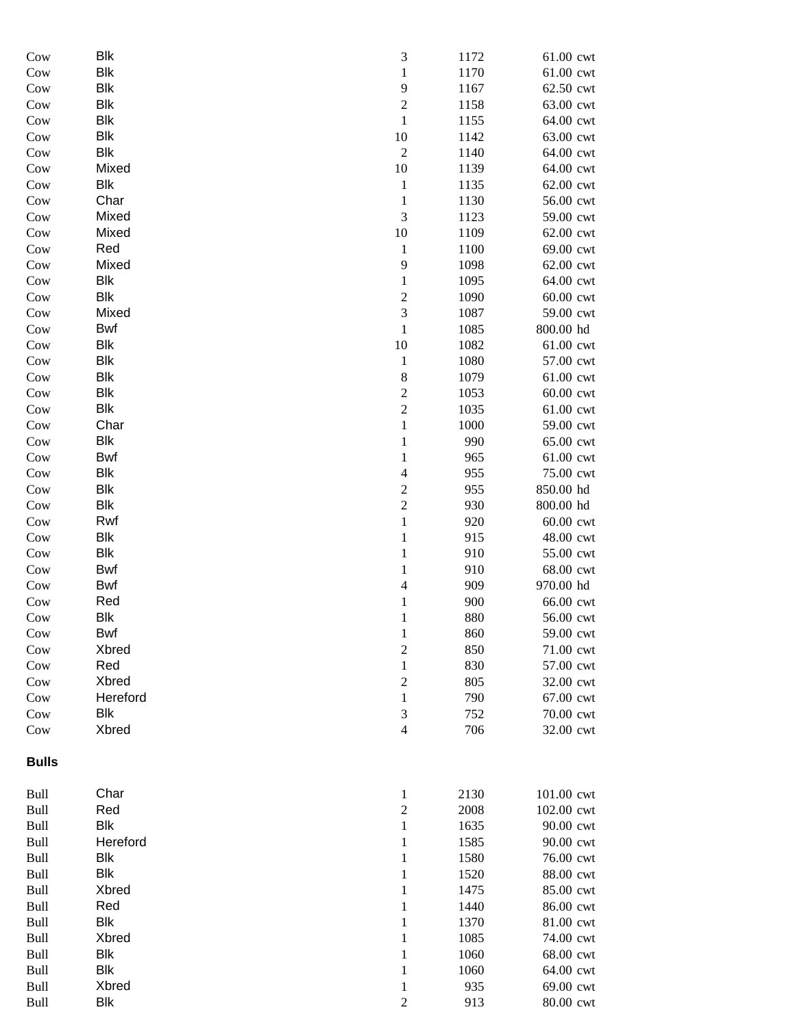| Cow          | <b>Blk</b> | $\ensuremath{\mathfrak{Z}}$ | 1172 | 61.00 cwt  |
|--------------|------------|-----------------------------|------|------------|
| Cow          | <b>Blk</b> | $\,1$                       | 1170 | 61.00 cwt  |
| Cow          | <b>Blk</b> | 9                           | 1167 | 62.50 cwt  |
| Cow          | <b>Blk</b> | $\sqrt{2}$                  | 1158 | 63.00 cwt  |
| Cow          | <b>Blk</b> | $\mathbf 1$                 | 1155 | 64.00 cwt  |
| Cow          | <b>Blk</b> | $10\,$                      | 1142 | 63.00 cwt  |
| Cow          | <b>Blk</b> | $\sqrt{2}$                  | 1140 | 64.00 cwt  |
| Cow          | Mixed      | $10\,$                      | 1139 | 64.00 cwt  |
| Cow          | <b>Blk</b> | $\,1$                       | 1135 | 62.00 cwt  |
| Cow          | Char       | $\mathbf{1}$                | 1130 | 56.00 cwt  |
| Cow          | Mixed      | $\mathfrak{Z}$              | 1123 | 59.00 cwt  |
| Cow          | Mixed      | 10                          | 1109 | 62.00 cwt  |
| Cow          | Red        | $\mathbf{1}$                | 1100 | 69.00 cwt  |
| Cow          | Mixed      | 9                           | 1098 | 62.00 cwt  |
| Cow          | <b>Blk</b> | $\,1$                       | 1095 | 64.00 cwt  |
| Cow          | <b>Blk</b> | $\sqrt{2}$                  | 1090 | 60.00 cwt  |
| Cow          | Mixed      | 3                           | 1087 | 59.00 cwt  |
| Cow          | <b>Bwf</b> | $\mathbf 1$                 | 1085 | 800.00 hd  |
| Cow          | <b>Blk</b> | 10                          | 1082 | 61.00 cwt  |
| Cow          | <b>Blk</b> |                             | 1080 |            |
|              | <b>Blk</b> | $\mathbf{1}$                |      | 57.00 cwt  |
| Cow          |            | $\,8\,$                     | 1079 | 61.00 cwt  |
| Cow          | <b>Blk</b> | $\overline{c}$              | 1053 | 60.00 cwt  |
| Cow          | <b>Blk</b> | $\sqrt{2}$                  | 1035 | 61.00 cwt  |
| Cow          | Char       | $\,1$                       | 1000 | 59.00 cwt  |
| Cow          | <b>Blk</b> | $\,1$                       | 990  | 65.00 cwt  |
| Cow          | <b>Bwf</b> | $\mathbf{1}$                | 965  | 61.00 cwt  |
| Cow          | <b>Blk</b> | $\overline{\mathbf{4}}$     | 955  | 75.00 cwt  |
| Cow          | <b>Blk</b> | $\boldsymbol{2}$            | 955  | 850.00 hd  |
| Cow          | <b>Blk</b> | $\overline{c}$              | 930  | 800.00 hd  |
| Cow          | Rwf        | $\,1$                       | 920  | 60.00 cwt  |
| Cow          | <b>Blk</b> | $\mathbf 1$                 | 915  | 48.00 cwt  |
| Cow          | <b>Blk</b> | $\mathbf 1$                 | 910  | 55.00 cwt  |
| Cow          | <b>Bwf</b> | $\,1$                       | 910  | 68.00 cwt  |
| Cow          | <b>Bwf</b> | $\overline{\mathbf{4}}$     | 909  | 970.00 hd  |
| Cow          | Red        | $\mathbf{1}$                | 900  | 66.00 cwt  |
| Cow          | Blk        | $\mathbf{1}$                | 880  | 56.00 cwt  |
| Cow          | Bwf        | 1                           | 860  | 59.00 cwt  |
| Cow          | Xbred      | $\boldsymbol{2}$            | 850  | 71.00 cwt  |
| Cow          | Red        | $\mathbf{1}$                | 830  | 57.00 cwt  |
| Cow          | Xbred      | $\overline{c}$              | 805  | 32.00 cwt  |
| Cow          | Hereford   | $\mathbf{1}$                | 790  | 67.00 cwt  |
| Cow          | <b>Blk</b> | $\mathfrak{Z}$              | 752  | 70.00 cwt  |
| Cow          | Xbred      | $\overline{4}$              | 706  | 32.00 cwt  |
| <b>Bulls</b> |            |                             |      |            |
| Bull         | Char       | $\mathbf{1}$                | 2130 | 101.00 cwt |
| Bull         | Red        | $\mathfrak{2}$              | 2008 | 102.00 cwt |
| Bull         | <b>Blk</b> | $\mathbf{1}$                | 1635 | 90.00 cwt  |
| Bull         | Hereford   | $\mathbf{1}$                | 1585 | 90.00 cwt  |
| Bull         | <b>Blk</b> | $\mathbf{1}$                | 1580 | 76.00 cwt  |
| <b>Bull</b>  | <b>Blk</b> | $\mathbf{1}$                | 1520 | 88.00 cwt  |
| <b>Bull</b>  | Xbred      | $\mathbf{1}$                | 1475 | 85.00 cwt  |
| <b>Bull</b>  | Red        | 1                           | 1440 | 86.00 cwt  |
| <b>Bull</b>  | <b>Blk</b> | $\mathbf{1}$                | 1370 | 81.00 cwt  |
| Bull         | Xbred      | $\mathbf{1}$                | 1085 | 74.00 cwt  |
| Bull         | <b>Blk</b> | $\mathbf{1}$                | 1060 | 68.00 cwt  |
| <b>Bull</b>  | <b>Blk</b> | $\mathbf{1}$                | 1060 | 64.00 cwt  |
| <b>Bull</b>  | Xbred      | $\mathbf{1}$                | 935  | 69.00 cwt  |
| Bull         | <b>Blk</b> | $\boldsymbol{2}$            | 913  | 80.00 cwt  |
|              |            |                             |      |            |